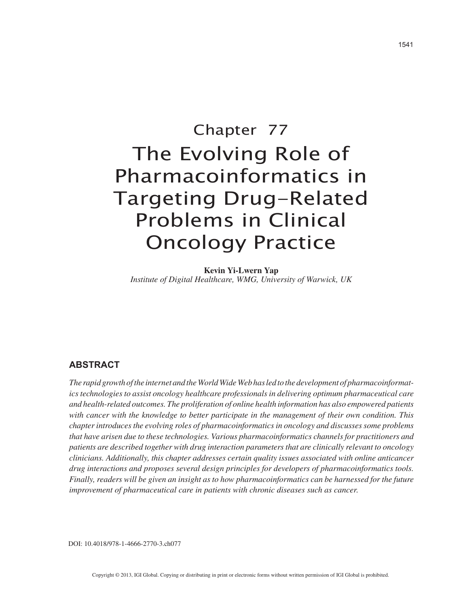# Chapter 77 The Evolving Role of Pharmacoinformatics in Targeting Drug-Related Problems in Clinical Oncology Practice

**Kevin Yi-Lwern Yap** *Institute of Digital Healthcare, WMG, University of Warwick, UK*

# **ABSTRACT**

*The rapid growth of the internet and the World Wide Web has led to the development of pharmacoinformatics technologies to assist oncology healthcare professionals in delivering optimum pharmaceutical care and health-related outcomes. The proliferation of online health information has also empowered patients with cancer with the knowledge to better participate in the management of their own condition. This chapter introduces the evolving roles of pharmacoinformatics in oncology and discusses some problems that have arisen due to these technologies. Various pharmacoinformatics channels for practitioners and patients are described together with drug interaction parameters that are clinically relevant to oncology clinicians. Additionally, this chapter addresses certain quality issues associated with online anticancer drug interactions and proposes several design principles for developers of pharmacoinformatics tools. Finally, readers will be given an insight as to how pharmacoinformatics can be harnessed for the future improvement of pharmaceutical care in patients with chronic diseases such as cancer.*

DOI: 10.4018/978-1-4666-2770-3.ch077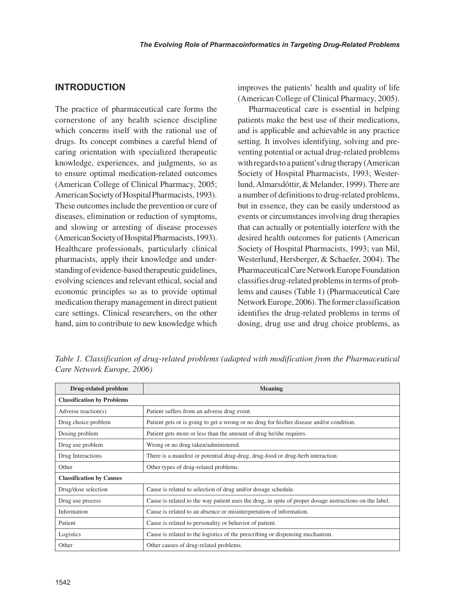### **INTRODUCTION**

The practice of pharmaceutical care forms the cornerstone of any health science discipline which concerns itself with the rational use of drugs. Its concept combines a careful blend of caring orientation with specialized therapeutic knowledge, experiences, and judgments, so as to ensure optimal medication-related outcomes (American College of Clinical Pharmacy, 2005; American Society of Hospital Pharmacists, 1993). These outcomes include the prevention or cure of diseases, elimination or reduction of symptoms, and slowing or arresting of disease processes (American Society of Hospital Pharmacists, 1993). Healthcare professionals, particularly clinical pharmacists, apply their knowledge and understanding of evidence-based therapeutic guidelines, evolving sciences and relevant ethical, social and economic principles so as to provide optimal medication therapy management in direct patient care settings. Clinical researchers, on the other hand, aim to contribute to new knowledge which improves the patients' health and quality of life (American College of Clinical Pharmacy, 2005).

Pharmaceutical care is essential in helping patients make the best use of their medications, and is applicable and achievable in any practice setting. It involves identifying, solving and preventing potential or actual drug-related problems with regards to a patient's drug therapy (American Society of Hospital Pharmacists, 1993; Westerlund, Almarsdóttir, & Melander, 1999). There are a number of definitions to drug-related problems, but in essence, they can be easily understood as events or circumstances involving drug therapies that can actually or potentially interfere with the desired health outcomes for patients (American Society of Hospital Pharmacists, 1993; van Mil, Westerlund, Hersberger, & Schaefer, 2004). The Pharmaceutical Care Network Europe Foundation classifies drug-related problems in terms of problems and causes (Table 1) (Pharmaceutical Care Network Europe, 2006). The former classification identifies the drug-related problems in terms of dosing, drug use and drug choice problems, as

| Drug-related problem              | <b>Meaning</b>                                                                                          |
|-----------------------------------|---------------------------------------------------------------------------------------------------------|
| <b>Classification by Problems</b> |                                                                                                         |
| Adverse reaction(s)               | Patient suffers from an adverse drug event.                                                             |
| Drug choice problem               | Patient gets or is going to get a wrong or no drug for his/her disease and/or condition.                |
| Dosing problem                    | Patient gets more or less than the amount of drug he/she requires.                                      |
| Drug use problem                  | Wrong or no drug taken/administered.                                                                    |
| Drug Interactions                 | There is a manifest or potential drug-drug, drug-food or drug-herb interaction.                         |
| Other                             | Other types of drug-related problems.                                                                   |
| <b>Classification by Causes</b>   |                                                                                                         |
| Drug/dose selection               | Cause is related to selection of drug and/or dosage schedule.                                           |
| Drug use process                  | Cause is related to the way patient uses the drug, in spite of proper dosage instructions on the label. |
| Information                       | Cause is related to an absence or misinterpretation of information.                                     |
| Patient                           | Cause is related to personality or behavior of patient.                                                 |
| Logistics                         | Cause is related to the logistics of the prescribing or dispensing mechanism.                           |
| Other                             | Other causes of drug-related problems.                                                                  |

*Table 1. Classification of drug-related problems (adapted with modification from the Pharmaceutical Care Network Europe, 2006)*